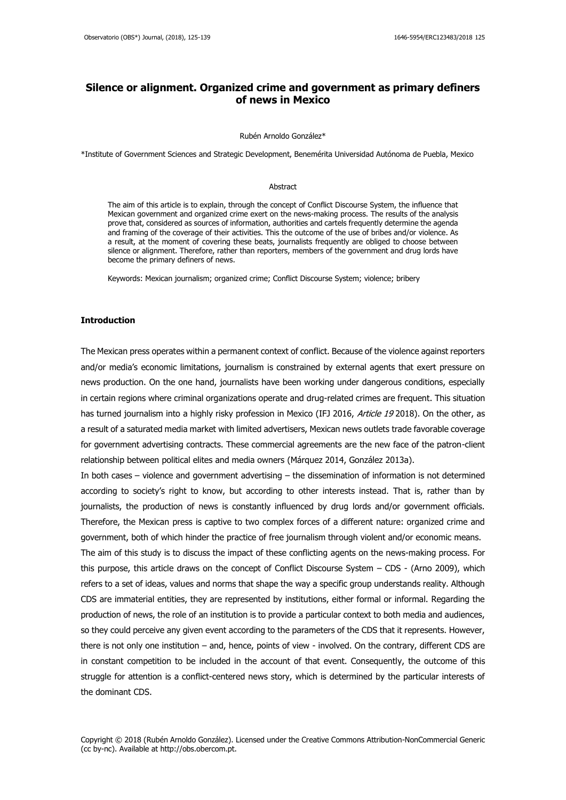# **Silence or alignment. Organized crime and government as primary definers of news in Mexico**

#### Rubén Arnoldo González\*

\*Institute of Government Sciences and Strategic Development, Benemérita Universidad Autónoma de Puebla, Mexico

#### Abstract

The aim of this article is to explain, through the concept of Conflict Discourse System, the influence that Mexican government and organized crime exert on the news-making process. The results of the analysis prove that, considered as sources of information, authorities and cartels frequently determine the agenda and framing of the coverage of their activities. This the outcome of the use of bribes and/or violence. As a result, at the moment of covering these beats, journalists frequently are obliged to choose between silence or alignment. Therefore, rather than reporters, members of the government and drug lords have become the primary definers of news.

Keywords: Mexican journalism; organized crime; Conflict Discourse System; violence; bribery

### **Introduction**

The Mexican press operates within a permanent context of conflict. Because of the violence against reporters and/or media's economic limitations, journalism is constrained by external agents that exert pressure on news production. On the one hand, journalists have been working under dangerous conditions, especially in certain regions where criminal organizations operate and drug-related crimes are frequent. This situation has turned journalism into a highly risky profession in Mexico (IFJ 2016, Article 19 2018). On the other, as a result of a saturated media market with limited advertisers, Mexican news outlets trade favorable coverage for government advertising contracts. These commercial agreements are the new face of the patron-client relationship between political elites and media owners (Márquez 2014, González 2013a).

In both cases – violence and government advertising – the dissemination of information is not determined according to society's right to know, but according to other interests instead. That is, rather than by journalists, the production of news is constantly influenced by drug lords and/or government officials. Therefore, the Mexican press is captive to two complex forces of a different nature: organized crime and government, both of which hinder the practice of free journalism through violent and/or economic means.

The aim of this study is to discuss the impact of these conflicting agents on the news-making process. For this purpose, this article draws on the concept of Conflict Discourse System – CDS - (Arno 2009), which refers to a set of ideas, values and norms that shape the way a specific group understands reality. Although CDS are immaterial entities, they are represented by institutions, either formal or informal. Regarding the production of news, the role of an institution is to provide a particular context to both media and audiences, so they could perceive any given event according to the parameters of the CDS that it represents. However, there is not only one institution – and, hence, points of view - involved. On the contrary, different CDS are in constant competition to be included in the account of that event. Consequently, the outcome of this struggle for attention is a conflict-centered news story, which is determined by the particular interests of the dominant CDS.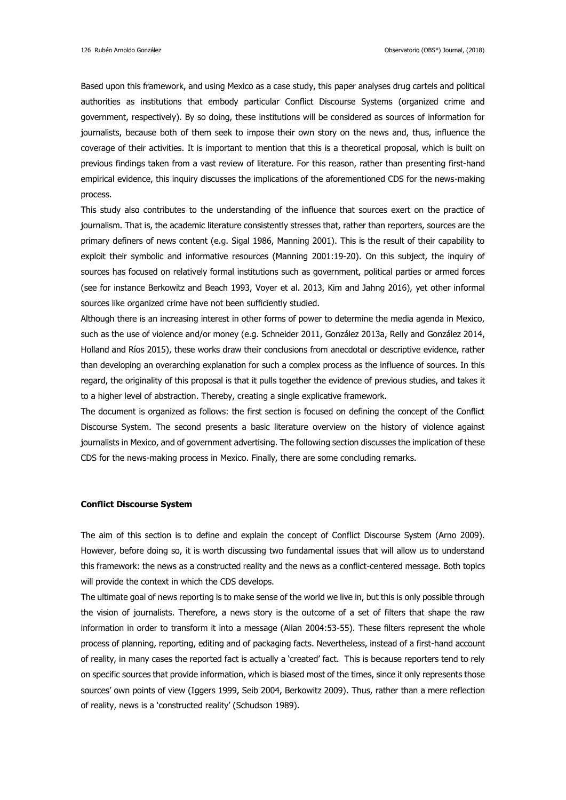Based upon this framework, and using Mexico as a case study, this paper analyses drug cartels and political authorities as institutions that embody particular Conflict Discourse Systems (organized crime and government, respectively). By so doing, these institutions will be considered as sources of information for journalists, because both of them seek to impose their own story on the news and, thus, influence the coverage of their activities. It is important to mention that this is a theoretical proposal, which is built on previous findings taken from a vast review of literature. For this reason, rather than presenting first-hand empirical evidence, this inquiry discusses the implications of the aforementioned CDS for the news-making process.

This study also contributes to the understanding of the influence that sources exert on the practice of journalism. That is, the academic literature consistently stresses that, rather than reporters, sources are the primary definers of news content (e.g. Sigal 1986, Manning 2001). This is the result of their capability to exploit their symbolic and informative resources (Manning 2001:19-20). On this subject, the inquiry of sources has focused on relatively formal institutions such as government, political parties or armed forces (see for instance Berkowitz and Beach 1993, Voyer et al. 2013, Kim and Jahng 2016), yet other informal sources like organized crime have not been sufficiently studied.

Although there is an increasing interest in other forms of power to determine the media agenda in Mexico, such as the use of violence and/or money (e.g. Schneider 2011, González 2013a, Relly and González 2014, Holland and Ríos 2015), these works draw their conclusions from anecdotal or descriptive evidence, rather than developing an overarching explanation for such a complex process as the influence of sources. In this regard, the originality of this proposal is that it pulls together the evidence of previous studies, and takes it to a higher level of abstraction. Thereby, creating a single explicative framework.

The document is organized as follows: the first section is focused on defining the concept of the Conflict Discourse System. The second presents a basic literature overview on the history of violence against journalists in Mexico, and of government advertising. The following section discusses the implication of these CDS for the news-making process in Mexico. Finally, there are some concluding remarks.

# **Conflict Discourse System**

The aim of this section is to define and explain the concept of Conflict Discourse System (Arno 2009). However, before doing so, it is worth discussing two fundamental issues that will allow us to understand this framework: the news as a constructed reality and the news as a conflict-centered message. Both topics will provide the context in which the CDS develops.

The ultimate goal of news reporting is to make sense of the world we live in, but this is only possible through the vision of journalists. Therefore, a news story is the outcome of a set of filters that shape the raw information in order to transform it into a message (Allan 2004:53-55). These filters represent the whole process of planning, reporting, editing and of packaging facts. Nevertheless, instead of a first-hand account of reality, in many cases the reported fact is actually a 'created' fact. This is because reporters tend to rely on specific sources that provide information, which is biased most of the times, since it only represents those sources' own points of view (Iggers 1999, Seib 2004, Berkowitz 2009). Thus, rather than a mere reflection of reality, news is a 'constructed reality' (Schudson 1989).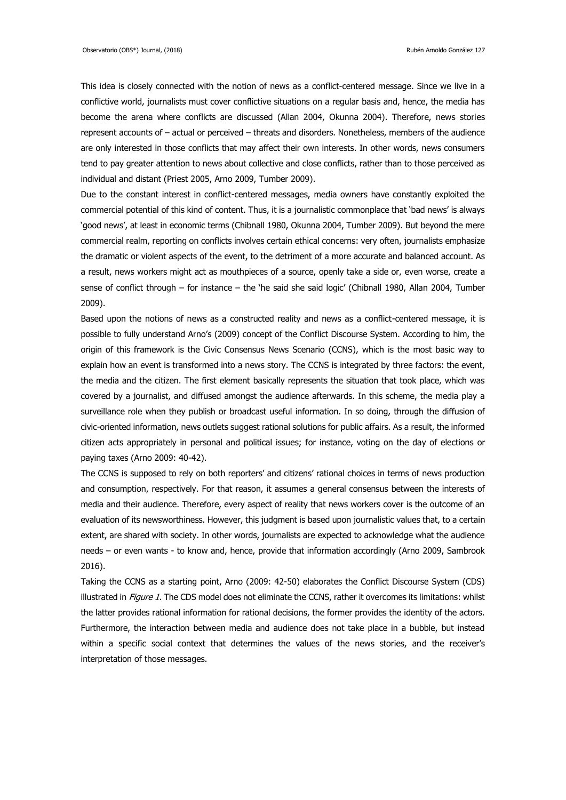This idea is closely connected with the notion of news as a conflict-centered message. Since we live in a conflictive world, journalists must cover conflictive situations on a regular basis and, hence, the media has become the arena where conflicts are discussed (Allan 2004, Okunna 2004). Therefore, news stories represent accounts of – actual or perceived – threats and disorders. Nonetheless, members of the audience are only interested in those conflicts that may affect their own interests. In other words, news consumers tend to pay greater attention to news about collective and close conflicts, rather than to those perceived as individual and distant (Priest 2005, Arno 2009, Tumber 2009).

Due to the constant interest in conflict-centered messages, media owners have constantly exploited the commercial potential of this kind of content. Thus, it is a journalistic commonplace that 'bad news' is always 'good news', at least in economic terms (Chibnall 1980, Okunna 2004, Tumber 2009). But beyond the mere commercial realm, reporting on conflicts involves certain ethical concerns: very often, journalists emphasize the dramatic or violent aspects of the event, to the detriment of a more accurate and balanced account. As a result, news workers might act as mouthpieces of a source, openly take a side or, even worse, create a sense of conflict through – for instance – the 'he said she said logic' (Chibnall 1980, Allan 2004, Tumber 2009).

Based upon the notions of news as a constructed reality and news as a conflict-centered message, it is possible to fully understand Arno's (2009) concept of the Conflict Discourse System. According to him, the origin of this framework is the Civic Consensus News Scenario (CCNS), which is the most basic way to explain how an event is transformed into a news story. The CCNS is integrated by three factors: the event, the media and the citizen. The first element basically represents the situation that took place, which was covered by a journalist, and diffused amongst the audience afterwards. In this scheme, the media play a surveillance role when they publish or broadcast useful information. In so doing, through the diffusion of civic-oriented information, news outlets suggest rational solutions for public affairs. As a result, the informed citizen acts appropriately in personal and political issues; for instance, voting on the day of elections or paying taxes (Arno 2009: 40-42).

The CCNS is supposed to rely on both reporters' and citizens' rational choices in terms of news production and consumption, respectively. For that reason, it assumes a general consensus between the interests of media and their audience. Therefore, every aspect of reality that news workers cover is the outcome of an evaluation of its newsworthiness. However, this judgment is based upon journalistic values that, to a certain extent, are shared with society. In other words, journalists are expected to acknowledge what the audience needs – or even wants - to know and, hence, provide that information accordingly (Arno 2009, Sambrook 2016).

Taking the CCNS as a starting point, Arno (2009: 42-50) elaborates the Conflict Discourse System (CDS) illustrated in Figure 1. The CDS model does not eliminate the CCNS, rather it overcomes its limitations: whilst the latter provides rational information for rational decisions, the former provides the identity of the actors. Furthermore, the interaction between media and audience does not take place in a bubble, but instead within a specific social context that determines the values of the news stories, and the receiver's interpretation of those messages.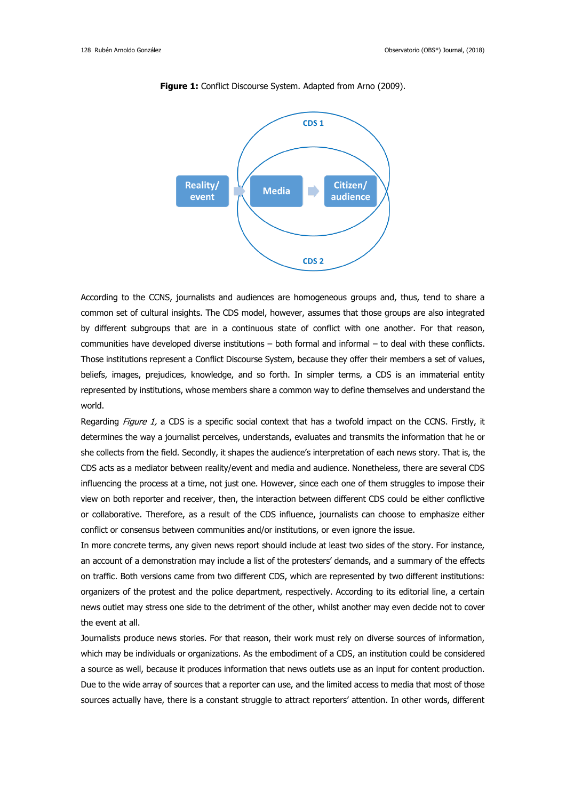

**Figure 1:** Conflict Discourse System. Adapted from Arno (2009).

According to the CCNS, journalists and audiences are homogeneous groups and, thus, tend to share a common set of cultural insights. The CDS model, however, assumes that those groups are also integrated by different subgroups that are in a continuous state of conflict with one another. For that reason, communities have developed diverse institutions – both formal and informal – to deal with these conflicts. Those institutions represent a Conflict Discourse System, because they offer their members a set of values, beliefs, images, prejudices, knowledge, and so forth. In simpler terms, a CDS is an immaterial entity represented by institutions, whose members share a common way to define themselves and understand the world.

Regarding Figure 1, a CDS is a specific social context that has a twofold impact on the CCNS. Firstly, it determines the way a journalist perceives, understands, evaluates and transmits the information that he or she collects from the field. Secondly, it shapes the audience's interpretation of each news story. That is, the CDS acts as a mediator between reality/event and media and audience. Nonetheless, there are several CDS influencing the process at a time, not just one. However, since each one of them struggles to impose their view on both reporter and receiver, then, the interaction between different CDS could be either conflictive or collaborative. Therefore, as a result of the CDS influence, journalists can choose to emphasize either conflict or consensus between communities and/or institutions, or even ignore the issue.

In more concrete terms, any given news report should include at least two sides of the story. For instance, an account of a demonstration may include a list of the protesters' demands, and a summary of the effects on traffic. Both versions came from two different CDS, which are represented by two different institutions: organizers of the protest and the police department, respectively. According to its editorial line, a certain news outlet may stress one side to the detriment of the other, whilst another may even decide not to cover the event at all.

Journalists produce news stories. For that reason, their work must rely on diverse sources of information, which may be individuals or organizations. As the embodiment of a CDS, an institution could be considered a source as well, because it produces information that news outlets use as an input for content production. Due to the wide array of sources that a reporter can use, and the limited access to media that most of those sources actually have, there is a constant struggle to attract reporters' attention. In other words, different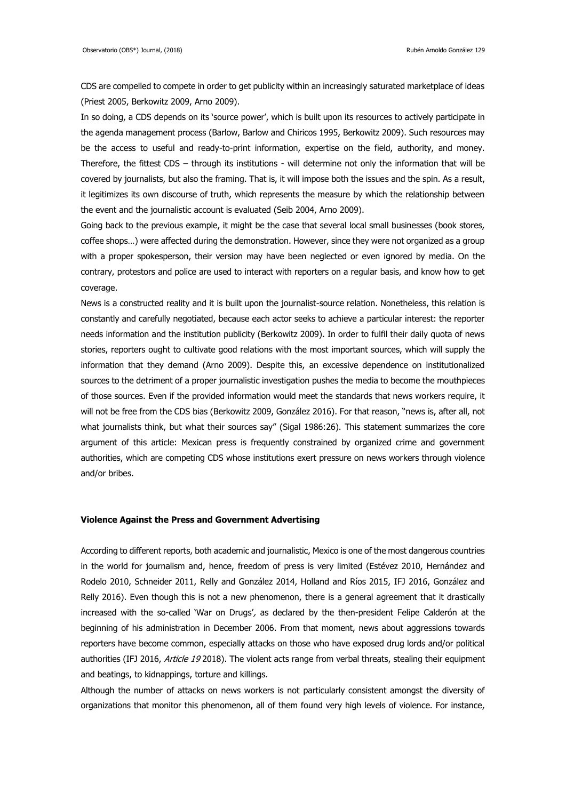CDS are compelled to compete in order to get publicity within an increasingly saturated marketplace of ideas (Priest 2005, Berkowitz 2009, Arno 2009).

In so doing, a CDS depends on its 'source power', which is built upon its resources to actively participate in the agenda management process (Barlow, Barlow and Chiricos 1995, Berkowitz 2009). Such resources may be the access to useful and ready-to-print information, expertise on the field, authority, and money. Therefore, the fittest CDS – through its institutions - will determine not only the information that will be covered by journalists, but also the framing. That is, it will impose both the issues and the spin. As a result, it legitimizes its own discourse of truth, which represents the measure by which the relationship between the event and the journalistic account is evaluated (Seib 2004, Arno 2009).

Going back to the previous example, it might be the case that several local small businesses (book stores, coffee shops…) were affected during the demonstration. However, since they were not organized as a group with a proper spokesperson, their version may have been neglected or even ignored by media. On the contrary, protestors and police are used to interact with reporters on a regular basis, and know how to get coverage.

News is a constructed reality and it is built upon the journalist-source relation. Nonetheless, this relation is constantly and carefully negotiated, because each actor seeks to achieve a particular interest: the reporter needs information and the institution publicity (Berkowitz 2009). In order to fulfil their daily quota of news stories, reporters ought to cultivate good relations with the most important sources, which will supply the information that they demand (Arno 2009). Despite this, an excessive dependence on institutionalized sources to the detriment of a proper journalistic investigation pushes the media to become the mouthpieces of those sources. Even if the provided information would meet the standards that news workers require, it will not be free from the CDS bias (Berkowitz 2009, González 2016). For that reason, "news is, after all, not what journalists think, but what their sources say" (Sigal 1986:26). This statement summarizes the core argument of this article: Mexican press is frequently constrained by organized crime and government authorities, which are competing CDS whose institutions exert pressure on news workers through violence and/or bribes.

# **Violence Against the Press and Government Advertising**

According to different reports, both academic and journalistic, Mexico is one of the most dangerous countries in the world for journalism and, hence, freedom of press is very limited (Estévez 2010, Hernández and Rodelo 2010, Schneider 2011, Relly and González 2014, Holland and Ríos 2015, IFJ 2016, González and Relly 2016). Even though this is not a new phenomenon, there is a general agreement that it drastically increased with the so-called 'War on Drugs', as declared by the then-president Felipe Calderón at the beginning of his administration in December 2006. From that moment, news about aggressions towards reporters have become common, especially attacks on those who have exposed drug lords and/or political authorities (IFJ 2016, Article 19 2018). The violent acts range from verbal threats, stealing their equipment and beatings, to kidnappings, torture and killings.

Although the number of attacks on news workers is not particularly consistent amongst the diversity of organizations that monitor this phenomenon, all of them found very high levels of violence. For instance,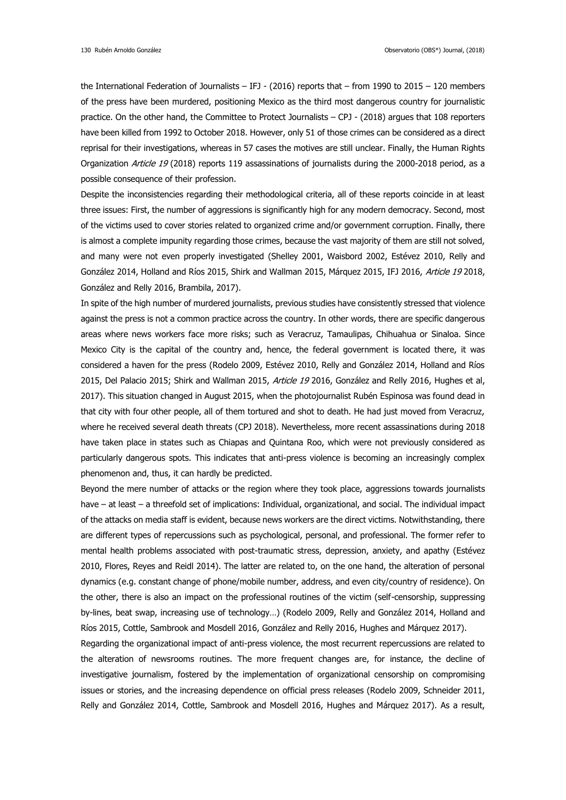the International Federation of Journalists – IFJ - (2016) reports that – from 1990 to 2015 – 120 members of the press have been murdered, positioning Mexico as the third most dangerous country for journalistic practice. On the other hand, the Committee to Protect Journalists – CPJ - (2018) argues that 108 reporters have been killed from 1992 to October 2018. However, only 51 of those crimes can be considered as a direct reprisal for their investigations, whereas in 57 cases the motives are still unclear. Finally, the Human Rights Organization Article 19 (2018) reports 119 assassinations of journalists during the 2000-2018 period, as a possible consequence of their profession.

Despite the inconsistencies regarding their methodological criteria, all of these reports coincide in at least three issues: First, the number of aggressions is significantly high for any modern democracy. Second, most of the victims used to cover stories related to organized crime and/or government corruption. Finally, there is almost a complete impunity regarding those crimes, because the vast majority of them are still not solved, and many were not even properly investigated (Shelley 2001, Waisbord 2002, Estévez 2010, Relly and González 2014, Holland and Ríos 2015, Shirk and Wallman 2015, Márquez 2015, IFJ 2016, Article 19 2018, González and Relly 2016, Brambila, 2017).

In spite of the high number of murdered journalists, previous studies have consistently stressed that violence against the press is not a common practice across the country. In other words, there are specific dangerous areas where news workers face more risks; such as Veracruz, Tamaulipas, Chihuahua or Sinaloa. Since Mexico City is the capital of the country and, hence, the federal government is located there, it was considered a haven for the press (Rodelo 2009, Estévez 2010, Relly and González 2014, Holland and Ríos 2015, Del Palacio 2015; Shirk and Wallman 2015, Article 19 2016, González and Relly 2016, Hughes et al, 2017). This situation changed in August 2015, when the photojournalist Rubén Espinosa was found dead in that city with four other people, all of them tortured and shot to death. He had just moved from Veracruz, where he received several death threats (CPJ 2018). Nevertheless, more recent assassinations during 2018 have taken place in states such as Chiapas and Quintana Roo, which were not previously considered as particularly dangerous spots. This indicates that anti-press violence is becoming an increasingly complex phenomenon and, thus, it can hardly be predicted.

Beyond the mere number of attacks or the region where they took place, aggressions towards journalists have – at least – a threefold set of implications: Individual, organizational, and social. The individual impact of the attacks on media staff is evident, because news workers are the direct victims. Notwithstanding, there are different types of repercussions such as psychological, personal, and professional. The former refer to mental health problems associated with post-traumatic stress, depression, anxiety, and apathy (Estévez 2010, Flores, Reyes and Reidl 2014). The latter are related to, on the one hand, the alteration of personal dynamics (e.g. constant change of phone/mobile number, address, and even city/country of residence). On the other, there is also an impact on the professional routines of the victim (self-censorship, suppressing by-lines, beat swap, increasing use of technology…) (Rodelo 2009, Relly and González 2014, Holland and Ríos 2015, Cottle, Sambrook and Mosdell 2016, González and Relly 2016, Hughes and Márquez 2017).

Regarding the organizational impact of anti-press violence, the most recurrent repercussions are related to the alteration of newsrooms routines. The more frequent changes are, for instance, the decline of investigative journalism, fostered by the implementation of organizational censorship on compromising issues or stories, and the increasing dependence on official press releases (Rodelo 2009, Schneider 2011, Relly and González 2014, Cottle, Sambrook and Mosdell 2016, Hughes and Márquez 2017). As a result,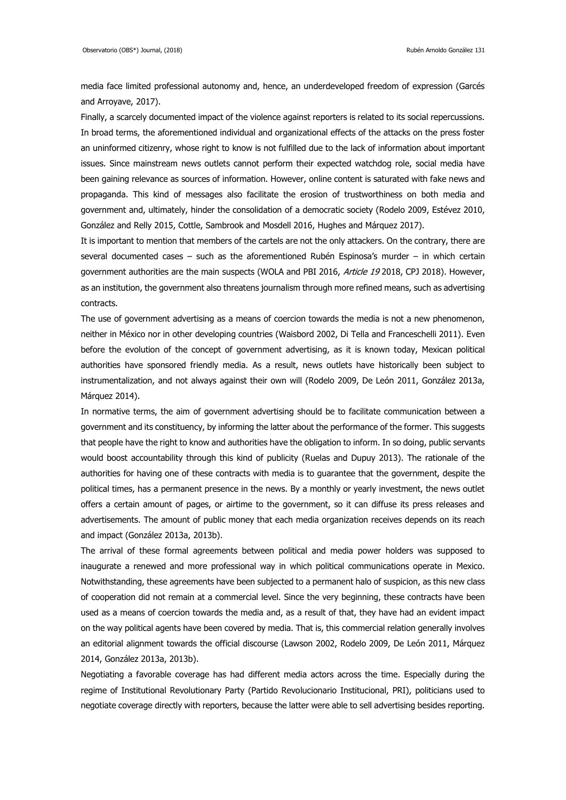media face limited professional autonomy and, hence, an underdeveloped freedom of expression (Garcés and Arroyave, 2017).

Finally, a scarcely documented impact of the violence against reporters is related to its social repercussions. In broad terms, the aforementioned individual and organizational effects of the attacks on the press foster an uninformed citizenry, whose right to know is not fulfilled due to the lack of information about important issues. Since mainstream news outlets cannot perform their expected watchdog role, social media have been gaining relevance as sources of information. However, online content is saturated with fake news and propaganda. This kind of messages also facilitate the erosion of trustworthiness on both media and government and, ultimately, hinder the consolidation of a democratic society (Rodelo 2009, Estévez 2010, González and Relly 2015, Cottle, Sambrook and Mosdell 2016, Hughes and Márquez 2017).

It is important to mention that members of the cartels are not the only attackers. On the contrary, there are several documented cases – such as the aforementioned Rubén Espinosa's murder – in which certain government authorities are the main suspects (WOLA and PBI 2016, Article 19 2018, CPJ 2018). However, as an institution, the government also threatens journalism through more refined means, such as advertising contracts.

The use of government advertising as a means of coercion towards the media is not a new phenomenon, neither in México nor in other developing countries (Waisbord 2002, Di Tella and Franceschelli 2011). Even before the evolution of the concept of government advertising, as it is known today, Mexican political authorities have sponsored friendly media. As a result, news outlets have historically been subject to instrumentalization, and not always against their own will (Rodelo 2009, De León 2011, González 2013a, Márquez 2014).

In normative terms, the aim of government advertising should be to facilitate communication between a government and its constituency, by informing the latter about the performance of the former. This suggests that people have the right to know and authorities have the obligation to inform. In so doing, public servants would boost accountability through this kind of publicity (Ruelas and Dupuy 2013). The rationale of the authorities for having one of these contracts with media is to guarantee that the government, despite the political times, has a permanent presence in the news. By a monthly or yearly investment, the news outlet offers a certain amount of pages, or airtime to the government, so it can diffuse its press releases and advertisements. The amount of public money that each media organization receives depends on its reach and impact (González 2013a, 2013b).

The arrival of these formal agreements between political and media power holders was supposed to inaugurate a renewed and more professional way in which political communications operate in Mexico. Notwithstanding, these agreements have been subjected to a permanent halo of suspicion, as this new class of cooperation did not remain at a commercial level. Since the very beginning, these contracts have been used as a means of coercion towards the media and, as a result of that, they have had an evident impact on the way political agents have been covered by media. That is, this commercial relation generally involves an editorial alignment towards the official discourse (Lawson 2002, Rodelo 2009, De León 2011, Márquez 2014, González 2013a, 2013b).

Negotiating a favorable coverage has had different media actors across the time. Especially during the regime of Institutional Revolutionary Party (Partido Revolucionario Institucional, PRI), politicians used to negotiate coverage directly with reporters, because the latter were able to sell advertising besides reporting.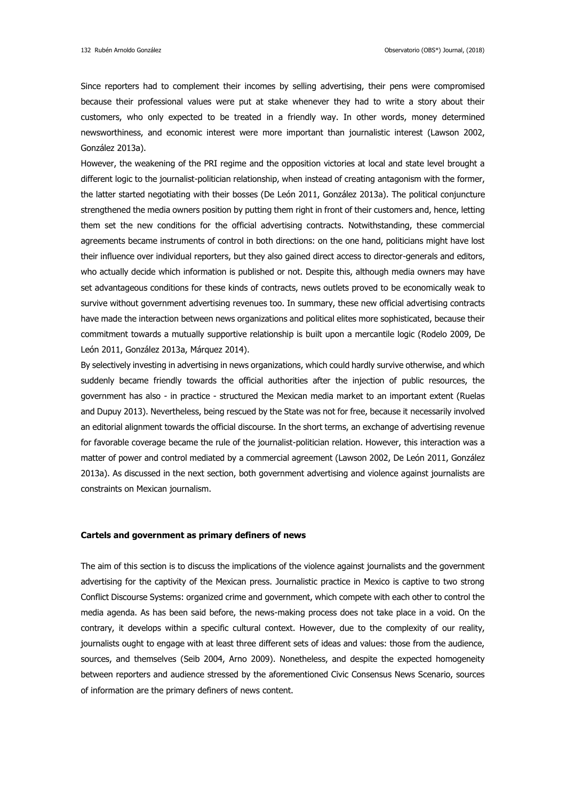Since reporters had to complement their incomes by selling advertising, their pens were compromised because their professional values were put at stake whenever they had to write a story about their customers, who only expected to be treated in a friendly way. In other words, money determined newsworthiness, and economic interest were more important than journalistic interest (Lawson 2002, González 2013a).

However, the weakening of the PRI regime and the opposition victories at local and state level brought a different logic to the journalist-politician relationship, when instead of creating antagonism with the former, the latter started negotiating with their bosses (De León 2011, González 2013a). The political conjuncture strengthened the media owners position by putting them right in front of their customers and, hence, letting them set the new conditions for the official advertising contracts. Notwithstanding, these commercial agreements became instruments of control in both directions: on the one hand, politicians might have lost their influence over individual reporters, but they also gained direct access to director-generals and editors, who actually decide which information is published or not. Despite this, although media owners may have set advantageous conditions for these kinds of contracts, news outlets proved to be economically weak to survive without government advertising revenues too. In summary, these new official advertising contracts have made the interaction between news organizations and political elites more sophisticated, because their commitment towards a mutually supportive relationship is built upon a mercantile logic (Rodelo 2009, De León 2011, González 2013a, Márquez 2014).

By selectively investing in advertising in news organizations, which could hardly survive otherwise, and which suddenly became friendly towards the official authorities after the injection of public resources, the government has also - in practice - structured the Mexican media market to an important extent (Ruelas and Dupuy 2013). Nevertheless, being rescued by the State was not for free, because it necessarily involved an editorial alignment towards the official discourse. In the short terms, an exchange of advertising revenue for favorable coverage became the rule of the journalist-politician relation. However, this interaction was a matter of power and control mediated by a commercial agreement (Lawson 2002, De León 2011, González 2013a). As discussed in the next section, both government advertising and violence against journalists are constraints on Mexican journalism.

# **Cartels and government as primary definers of news**

The aim of this section is to discuss the implications of the violence against journalists and the government advertising for the captivity of the Mexican press. Journalistic practice in Mexico is captive to two strong Conflict Discourse Systems: organized crime and government, which compete with each other to control the media agenda. As has been said before, the news-making process does not take place in a void. On the contrary, it develops within a specific cultural context. However, due to the complexity of our reality, journalists ought to engage with at least three different sets of ideas and values: those from the audience, sources, and themselves (Seib 2004, Arno 2009). Nonetheless, and despite the expected homogeneity between reporters and audience stressed by the aforementioned Civic Consensus News Scenario, sources of information are the primary definers of news content.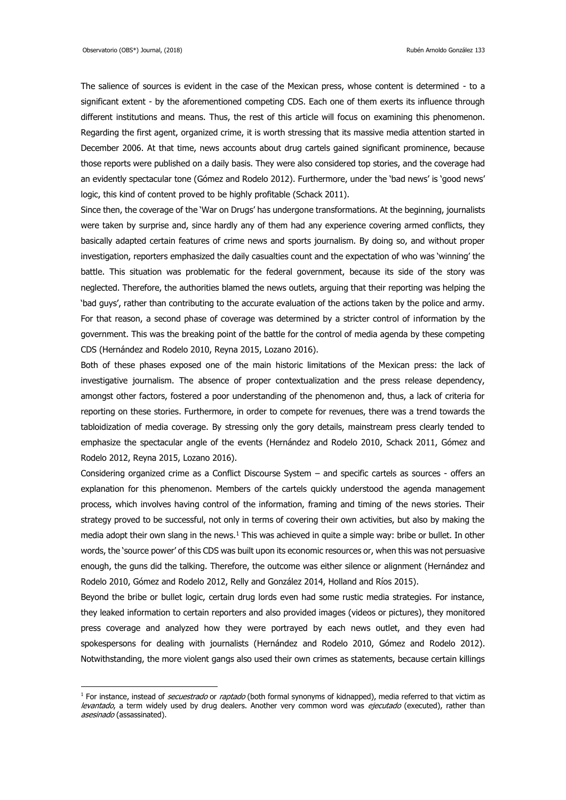1

The salience of sources is evident in the case of the Mexican press, whose content is determined - to a significant extent - by the aforementioned competing CDS. Each one of them exerts its influence through different institutions and means. Thus, the rest of this article will focus on examining this phenomenon. Regarding the first agent, organized crime, it is worth stressing that its massive media attention started in December 2006. At that time, news accounts about drug cartels gained significant prominence, because those reports were published on a daily basis. They were also considered top stories, and the coverage had an evidently spectacular tone (Gómez and Rodelo 2012). Furthermore, under the 'bad news' is 'good news' logic, this kind of content proved to be highly profitable (Schack 2011).

Since then, the coverage of the 'War on Drugs' has undergone transformations. At the beginning, journalists were taken by surprise and, since hardly any of them had any experience covering armed conflicts, they basically adapted certain features of crime news and sports journalism. By doing so, and without proper investigation, reporters emphasized the daily casualties count and the expectation of who was 'winning' the battle. This situation was problematic for the federal government, because its side of the story was neglected. Therefore, the authorities blamed the news outlets, arguing that their reporting was helping the 'bad guys', rather than contributing to the accurate evaluation of the actions taken by the police and army. For that reason, a second phase of coverage was determined by a stricter control of information by the government. This was the breaking point of the battle for the control of media agenda by these competing CDS (Hernández and Rodelo 2010, Reyna 2015, Lozano 2016).

Both of these phases exposed one of the main historic limitations of the Mexican press: the lack of investigative journalism. The absence of proper contextualization and the press release dependency, amongst other factors, fostered a poor understanding of the phenomenon and, thus, a lack of criteria for reporting on these stories. Furthermore, in order to compete for revenues, there was a trend towards the tabloidization of media coverage. By stressing only the gory details, mainstream press clearly tended to emphasize the spectacular angle of the events (Hernández and Rodelo 2010, Schack 2011, Gómez and Rodelo 2012, Reyna 2015, Lozano 2016).

Considering organized crime as a Conflict Discourse System – and specific cartels as sources - offers an explanation for this phenomenon. Members of the cartels quickly understood the agenda management process, which involves having control of the information, framing and timing of the news stories. Their strategy proved to be successful, not only in terms of covering their own activities, but also by making the media adopt their own slang in the news.<sup>1</sup> This was achieved in quite a simple way: bribe or bullet. In other words, the 'source power' of this CDS was built upon its economic resources or, when this was not persuasive enough, the guns did the talking. Therefore, the outcome was either silence or alignment (Hernández and Rodelo 2010, Gómez and Rodelo 2012, Relly and González 2014, Holland and Ríos 2015).

Beyond the bribe or bullet logic, certain drug lords even had some rustic media strategies. For instance, they leaked information to certain reporters and also provided images (videos or pictures), they monitored press coverage and analyzed how they were portrayed by each news outlet, and they even had spokespersons for dealing with journalists (Hernández and Rodelo 2010, Gómez and Rodelo 2012). Notwithstanding, the more violent gangs also used their own crimes as statements, because certain killings

<sup>&</sup>lt;sup>1</sup> For instance, instead of *secuestrado* or *raptado* (both formal synonyms of kidnapped), media referred to that victim as levantado, a term widely used by drug dealers. Another very common word was ejecutado (executed), rather than asesinado (assassinated).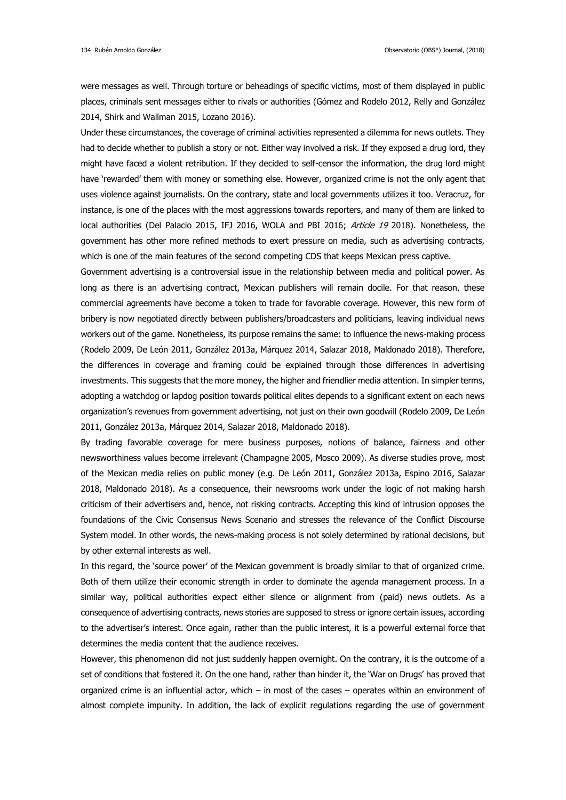were messages as well. Through torture or beheadings of specific victims, most of them displayed in public places, criminals sent messages either to rivals or authorities (Gómez and Rodelo 2012, Relly and González 2014, Shirk and Wallman 2015, Lozano 2016).

Under these circumstances, the coverage of criminal activities represented a dilemma for news outlets. They had to decide whether to publish a story or not. Either way involved a risk. If they exposed a drug lord, they might have faced a violent retribution. If they decided to self-censor the information, the drug lord might have 'rewarded' them with money or something else. However, organized crime is not the only agent that uses violence against journalists. On the contrary, state and local governments utilizes it too. Veracruz, for instance, is one of the places with the most aggressions towards reporters, and many of them are linked to local authorities (Del Palacio 2015, IFJ 2016, WOLA and PBI 2016; Article 19 2018). Nonetheless, the government has other more refined methods to exert pressure on media, such as advertising contracts, which is one of the main features of the second competing CDS that keeps Mexican press captive.

Government advertising is a controversial issue in the relationship between media and political power. As long as there is an advertising contract, Mexican publishers will remain docile. For that reason, these commercial agreements have become a token to trade for favorable coverage. However, this new form of bribery is now negotiated directly between publishers/broadcasters and politicians, leaving individual news workers out of the game. Nonetheless, its purpose remains the same: to influence the news-making process (Rodelo 2009, De León 2011, González 2013a, Márquez 2014, Salazar 2018, Maldonado 2018). Therefore, the differences in coverage and framing could be explained through those differences in advertising investments. This suggests that the more money, the higher and friendlier media attention. In simpler terms, adopting a watchdog or lapdog position towards political elites depends to a significant extent on each news organization's revenues from government advertising, not just on their own goodwill (Rodelo 2009, De León 2011, González 2013a, Márquez 2014, Salazar 2018, Maldonado 2018).

By trading favorable coverage for mere business purposes, notions of balance, fairness and other newsworthiness values become irrelevant (Champagne 2005, Mosco 2009). As diverse studies prove, most of the Mexican media relies on public money (e.g. De León 2011, González 2013a, Espino 2016, Salazar 2018, Maldonado 2018). As a consequence, their newsrooms work under the logic of not making harsh criticism of their advertisers and, hence, not risking contracts. Accepting this kind of intrusion opposes the foundations of the Civic Consensus News Scenario and stresses the relevance of the Conflict Discourse System model. In other words, the news-making process is not solely determined by rational decisions, but by other external interests as well.

In this regard, the 'source power' of the Mexican government is broadly similar to that of organized crime. Both of them utilize their economic strength in order to dominate the agenda management process. In a similar way, political authorities expect either silence or alignment from (paid) news outlets. As a consequence of advertising contracts, news stories are supposed to stress or ignore certain issues, according to the advertiser's interest. Once again, rather than the public interest, it is a powerful external force that determines the media content that the audience receives.

However, this phenomenon did not just suddenly happen overnight. On the contrary, it is the outcome of a set of conditions that fostered it. On the one hand, rather than hinder it, the 'War on Drugs' has proved that organized crime is an influential actor, which – in most of the cases – operates within an environment of almost complete impunity. In addition, the lack of explicit regulations regarding the use of government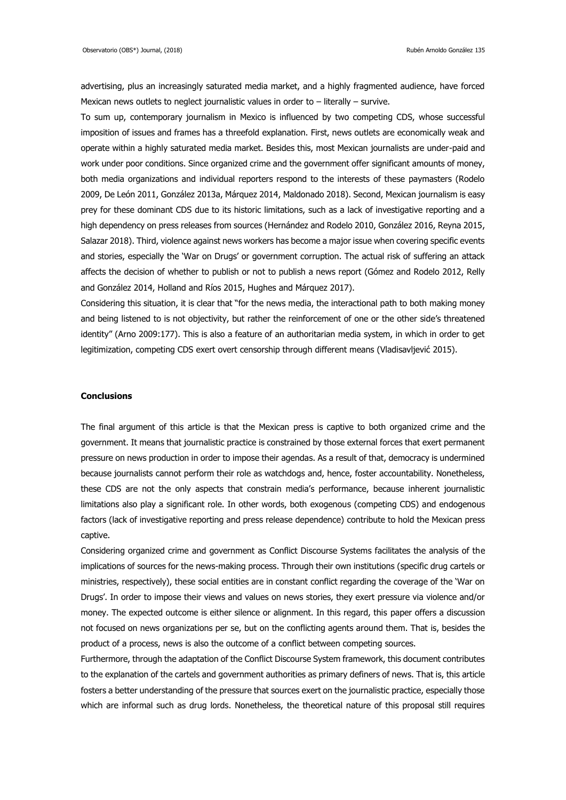advertising, plus an increasingly saturated media market, and a highly fragmented audience, have forced Mexican news outlets to neglect journalistic values in order to – literally – survive.

To sum up, contemporary journalism in Mexico is influenced by two competing CDS, whose successful imposition of issues and frames has a threefold explanation. First, news outlets are economically weak and operate within a highly saturated media market. Besides this, most Mexican journalists are under-paid and work under poor conditions. Since organized crime and the government offer significant amounts of money, both media organizations and individual reporters respond to the interests of these paymasters (Rodelo 2009, De León 2011, González 2013a, Márquez 2014, Maldonado 2018). Second, Mexican journalism is easy prey for these dominant CDS due to its historic limitations, such as a lack of investigative reporting and a high dependency on press releases from sources (Hernández and Rodelo 2010, González 2016, Reyna 2015, Salazar 2018). Third, violence against news workers has become a major issue when covering specific events and stories, especially the 'War on Drugs' or government corruption. The actual risk of suffering an attack affects the decision of whether to publish or not to publish a news report (Gómez and Rodelo 2012, Relly and González 2014, Holland and Ríos 2015, Hughes and Márquez 2017).

Considering this situation, it is clear that "for the news media, the interactional path to both making money and being listened to is not objectivity, but rather the reinforcement of one or the other side's threatened identity" (Arno 2009:177). This is also a feature of an authoritarian media system, in which in order to get legitimization, competing CDS exert overt censorship through different means (Vladisavljević 2015).

### **Conclusions**

The final argument of this article is that the Mexican press is captive to both organized crime and the government. It means that journalistic practice is constrained by those external forces that exert permanent pressure on news production in order to impose their agendas. As a result of that, democracy is undermined because journalists cannot perform their role as watchdogs and, hence, foster accountability. Nonetheless, these CDS are not the only aspects that constrain media's performance, because inherent journalistic limitations also play a significant role. In other words, both exogenous (competing CDS) and endogenous factors (lack of investigative reporting and press release dependence) contribute to hold the Mexican press captive.

Considering organized crime and government as Conflict Discourse Systems facilitates the analysis of the implications of sources for the news-making process. Through their own institutions (specific drug cartels or ministries, respectively), these social entities are in constant conflict regarding the coverage of the 'War on Drugs'. In order to impose their views and values on news stories, they exert pressure via violence and/or money. The expected outcome is either silence or alignment. In this regard, this paper offers a discussion not focused on news organizations per se, but on the conflicting agents around them. That is, besides the product of a process, news is also the outcome of a conflict between competing sources.

Furthermore, through the adaptation of the Conflict Discourse System framework, this document contributes to the explanation of the cartels and government authorities as primary definers of news. That is, this article fosters a better understanding of the pressure that sources exert on the journalistic practice, especially those which are informal such as drug lords. Nonetheless, the theoretical nature of this proposal still requires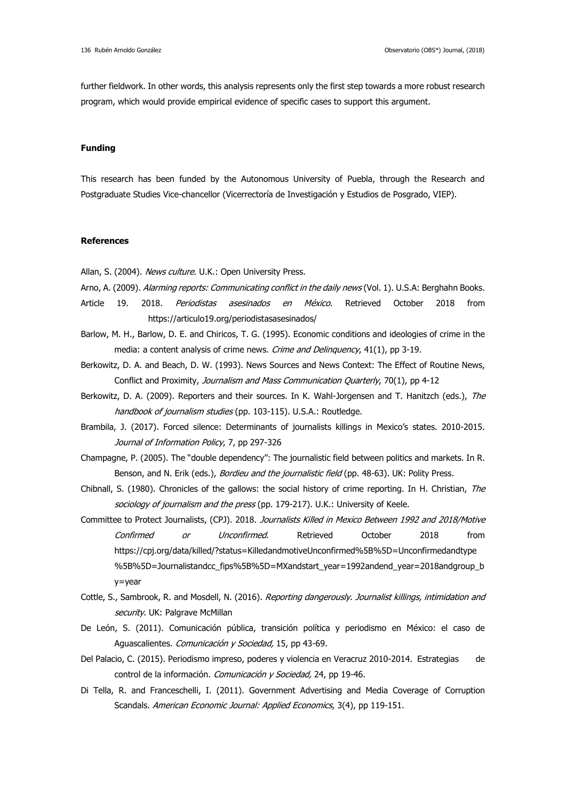further fieldwork. In other words, this analysis represents only the first step towards a more robust research program, which would provide empirical evidence of specific cases to support this argument.

#### **Funding**

This research has been funded by the Autonomous University of Puebla, through the Research and Postgraduate Studies Vice-chancellor (Vicerrectoría de Investigación y Estudios de Posgrado, VIEP).

#### **References**

Allan, S. (2004). News culture. U.K.: Open University Press.

- Arno, A. (2009). Alarming reports: Communicating conflict in the daily news (Vol. 1). U.S.A: Berghahn Books.
- Article 19. 2018. *Periodistas asesinados en México*. Retrieved October 2018 from https://articulo19.org/periodistasasesinados/
- Barlow, M. H., Barlow, D. E. and Chiricos, T. G. (1995). Economic conditions and ideologies of crime in the media: a content analysis of crime news. Crime and Delinguency, 41(1), pp 3-19.
- Berkowitz, D. A. and Beach, D. W. (1993). News Sources and News Context: The Effect of Routine News, Conflict and Proximity, Journalism and Mass Communication Quarterly, 70(1), pp 4-12
- Berkowitz, D. A. (2009). Reporters and their sources. In K. Wahl-Jorgensen and T. Hanitzch (eds.), The handbook of journalism studies (pp. 103-115). U.S.A.: Routledge.
- Brambila, J. (2017). Forced silence: Determinants of journalists killings in Mexico's states. 2010-2015. Journal of Information Policy, 7, pp 297-326
- Champagne, P. (2005). The "double dependency": The journalistic field between politics and markets. In R. Benson, and N. Erik (eds.), *Bordieu and the journalistic field* (pp. 48-63). UK: Polity Press.
- Chibnall, S. (1980). Chronicles of the gallows: the social history of crime reporting. In H. Christian, The sociology of journalism and the press (pp. 179-217). U.K.: University of Keele.
- Committee to Protect Journalists, (CPJ). 2018. Journalists Killed in Mexico Between 1992 and 2018/Motive Confirmed or Unconfirmed. Retrieved October 2018 from [https://cpj.org/data/killed/?status=KilledandmotiveUnconfirmed%5B%5D=Unconfirmedandtype](https://cpj.org/data/killed/?status=Killed&motiveUnconfirmed%5B%5D=Unconfirmed&type%5B%5D=Journalist&cc_fips%5B%5D=MX&start_year=1992&end_year=2018&group_by=year) [%5B%5D=Journalistandcc\\_fips%5B%5D=MXandstart\\_year=1992andend\\_year=2018andgroup\\_b](https://cpj.org/data/killed/?status=Killed&motiveUnconfirmed%5B%5D=Unconfirmed&type%5B%5D=Journalist&cc_fips%5B%5D=MX&start_year=1992&end_year=2018&group_by=year) [y=year](https://cpj.org/data/killed/?status=Killed&motiveUnconfirmed%5B%5D=Unconfirmed&type%5B%5D=Journalist&cc_fips%5B%5D=MX&start_year=1992&end_year=2018&group_by=year)
- Cottle, S., Sambrook, R. and Mosdell, N. (2016). Reporting dangerously. Journalist killings, intimidation and security. UK: Palgrave McMillan
- De León, S. (2011). Comunicación pública, transición política y periodismo en México: el caso de Aguascalientes. Comunicación y Sociedad, 15, pp 43-69.
- Del Palacio, C. (2015). Periodismo impreso, poderes y violencia en Veracruz 2010-2014. Estrategias de control de la información. Comunicación y Sociedad, 24, pp 19-46.
- Di Tella, R. and Franceschelli, I. (2011). Government Advertising and Media Coverage of Corruption Scandals. American Economic Journal: Applied Economics, 3(4), pp 119-151.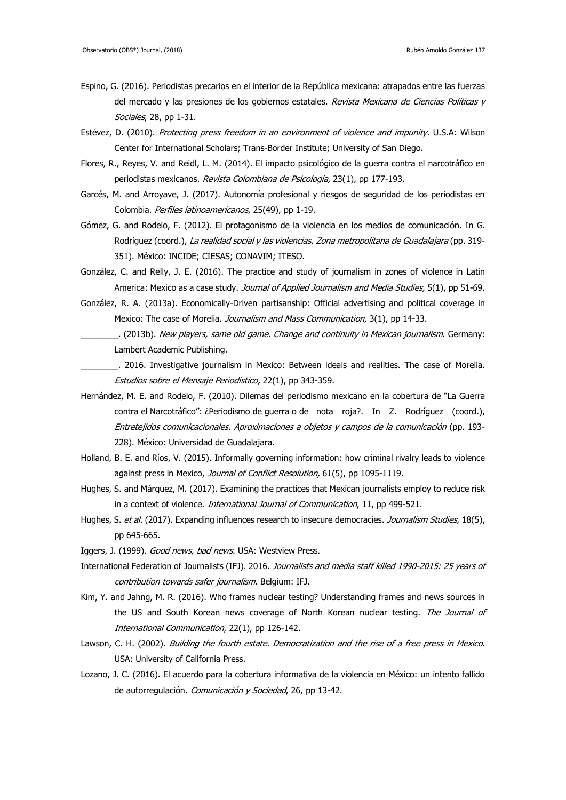- Espino, G. (2016). Periodistas precarios en el interior de la República mexicana: atrapados entre las fuerzas del mercado y las presiones de los gobiernos estatales. Revista Mexicana de Ciencias Políticas y Sociales, 28, pp 1-31.
- Estévez, D. (2010). Protecting press freedom in an environment of violence and impunity. U.S.A: Wilson Center for International Scholars; Trans-Border Institute; University of San Diego.
- Flores, R., Reyes, V. and Reidl, L. M. (2014). El impacto psicológico de la guerra contra el narcotráfico en periodistas mexicanos. Revista Colombiana de Psicología, 23(1), pp 177-193.
- Garcés, M. and Arroyave, J. (2017). Autonomía profesional y riesgos de seguridad de los periodistas en Colombia. Perfiles latinoamericanos, 25(49), pp 1-19.
- Gómez, G. and Rodelo, F. (2012). El protagonismo de la violencia en los medios de comunicación. In G. Rodríguez (coord.), La realidad social y las violencias. Zona metropolitana de Guadalajara (pp. 319-351). México: INCIDE; CIESAS; CONAVIM; ITESO.
- González, C. and Relly, J. E. (2016). The practice and study of journalism in zones of violence in Latin America: Mexico as a case study. Journal of Applied Journalism and Media Studies, 5(1), pp 51-69.
- González, R. A. (2013a). Economically-Driven partisanship: Official advertising and political coverage in Mexico: The case of Morelia. Journalism and Mass Communication, 3(1), pp 14-33.
	- Lattitude and continuity in Mexican journalism. Germany: Lambert Academic Publishing.
- \_\_\_\_\_\_\_\_. 2016. Investigative journalism in Mexico: Between ideals and realities. The case of Morelia. Estudios sobre el Mensaje Periodístico, 22(1), pp 343-359.
- Hernández, M. E. and Rodelo, F. (2010). Dilemas del periodismo mexicano en la cobertura de "La Guerra contra el Narcotráfico": ¿Periodismo de guerra o de nota roja?. In Z. Rodríguez (coord.), Entretejidos comunicacionales. Aproximaciones a objetos y campos de la comunicación (pp. 193- 228). México: Universidad de Guadalajara.
- Holland, B. E. and Ríos, V. (2015). Informally governing information: how criminal rivalry leads to violence against press in Mexico, Journal of Conflict Resolution, 61(5), pp 1095-1119.
- Hughes, S. and Márquez, M. (2017). Examining the practices that Mexican journalists employ to reduce risk in a context of violence. *International Journal of Communication*, 11, pp 499-521.
- Hughes, S. et al. (2017). Expanding influences research to insecure democracies. Journalism Studies, 18(5), pp 645-665.
- Iggers, J. (1999). Good news, bad news. USA: Westview Press.
- International Federation of Journalists (IFJ). 2016. Journalists and media staff killed 1990-2015: 25 years of contribution towards safer journalism. Belgium: IFJ.
- Kim, Y. and Jahng, M. R. (2016). Who frames nuclear testing? Understanding frames and news sources in the US and South Korean news coverage of North Korean nuclear testing. The Journal of International Communication, 22(1), pp 126-142.
- Lawson, C. H. (2002). Building the fourth estate. Democratization and the rise of a free press in Mexico. USA: University of California Press.
- Lozano, J. C. (2016). El acuerdo para la cobertura informativa de la violencia en México: un intento fallido de autorregulación. Comunicación y Sociedad, 26, pp 13-42.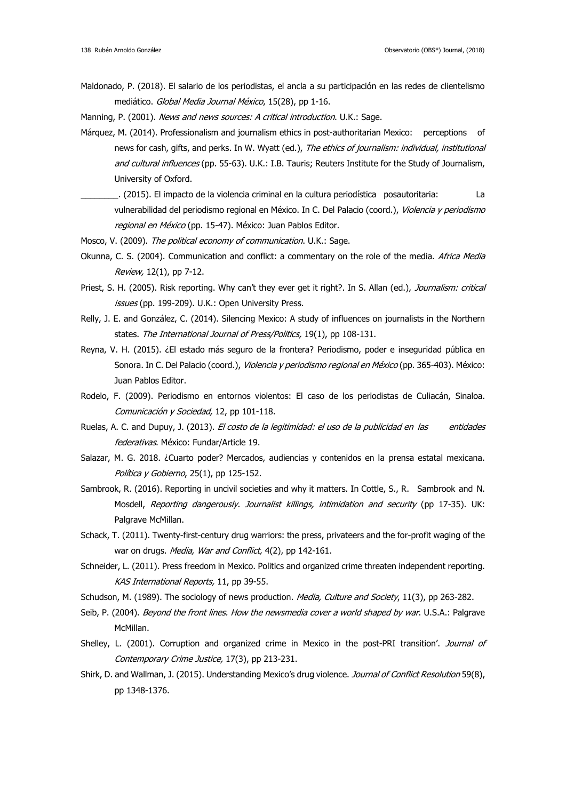- Maldonado, P. (2018). El salario de los periodistas, el ancla a su participación en las redes de clientelismo mediático. Global Media Journal México, 15(28), pp 1-16.
- Manning, P. (2001). News and news sources: A critical introduction. U.K.: Sage.
- Márquez, M. (2014). Professionalism and journalism ethics in post-authoritarian Mexico: perceptions of news for cash, gifts, and perks. In W. Wyatt (ed.), The ethics of journalism: individual, institutional and cultural influences (pp. 55-63). U.K.: I.B. Tauris; Reuters Institute for the Study of Journalism, University of Oxford.
- \_\_\_\_\_\_\_\_. (2015). El impacto de la violencia criminal en la cultura periodística posautoritaria: La vulnerabilidad del periodismo regional en México. In C. Del Palacio (coord.), Violencia y periodismo regional en México (pp. 15-47). México: Juan Pablos Editor.
- Mosco, V. (2009). The political economy of communication. U.K.: Sage.
- Okunna, C. S. (2004). Communication and conflict: a commentary on the role of the media. Africa Media Review, 12(1), pp 7-12.
- Priest, S. H. (2005). Risk reporting. Why can't they ever get it right?. In S. Allan (ed.), Journalism: critical issues (pp. 199-209). U.K.: Open University Press.
- Relly, J. E. and González, C. (2014). Silencing Mexico: A study of influences on journalists in the Northern states. The International Journal of Press/Politics, 19(1), pp 108-131.
- Reyna, V. H. (2015). ¿El estado más seguro de la frontera? Periodismo, poder e inseguridad pública en Sonora. In C. Del Palacio (coord.), Violencia y periodismo regional en México (pp. 365-403). México: Juan Pablos Editor.
- Rodelo, F. (2009). Periodismo en entornos violentos: El caso de los periodistas de Culiacán, Sinaloa. Comunicación y Sociedad, 12, pp 101-118.
- Ruelas, A. C. and Dupuy, J. (2013). El costo de la legitimidad: el uso de la publicidad en las entidades federativas. México: Fundar/Article 19.
- Salazar, M. G. 2018. ¿Cuarto poder? Mercados, audiencias y contenidos en la prensa estatal mexicana. Política y Gobierno, 25(1), pp 125-152.
- Sambrook, R. (2016). Reporting in uncivil societies and why it matters. In Cottle, S., R. Sambrook and N. Mosdell, Reporting dangerously. Journalist killings, intimidation and security (pp 17-35). UK: Palgrave McMillan.
- Schack, T. (2011). Twenty-first-century drug warriors: the press, privateers and the for-profit waging of the war on drugs. Media, War and Conflict, 4(2), pp 142-161.
- Schneider, L. (2011). Press freedom in Mexico. Politics and organized crime threaten independent reporting. KAS International Reports, 11, pp 39-55.
- Schudson, M. (1989). The sociology of news production. Media, Culture and Society, 11(3), pp 263-282.
- Seib, P. (2004). *Beyond the front lines. How the newsmedia cover a world shaped by war*. U.S.A.: Palgrave McMillan.
- Shelley, L. (2001). Corruption and organized crime in Mexico in the post-PRI transition'. Journal of Contemporary Crime Justice, 17(3), pp 213-231.
- Shirk, D. and Wallman, J. (2015). Understanding Mexico's drug violence. Journal of Conflict Resolution 59(8), pp 1348-1376.